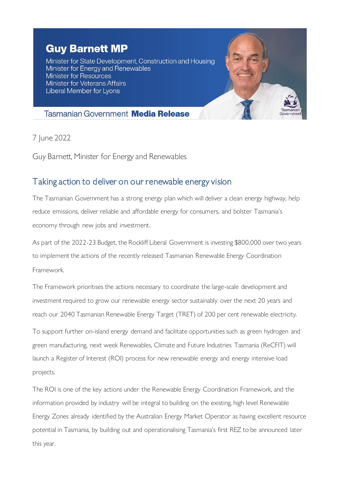## **Guy Barnett MP**

Minister for State Development, Construction and Housing Minister for Energy and Renewables **Minister for Resources Minister for Veterans Affairs** Liberal Member for Lyons



## **Tasmanian Government Media Release**

7 June 2022

Guy Barnett, Minister for Energy and Renewables

## Taking action to deliver on our renewable energy vision

The Tasmanian Government has a strong energy plan which will deliver a clean energy highway, help reduce emissions, deliver reliable and affordable energy for consumers, and bolster Tasmania's economy through new jobs and investment.

As part of the 2022-23 Budget, the Rockliff Liberal Government is investing \$800,000 over two years to implement the actions of the recently released Tasmanian Renewable Energy Coordination Framework.

The Framework prioritises the actions necessary to coordinate the large-scale development and investment required to grow our renewable energy sector sustainably over the next 20 years and reach our 2040 Tasmanian Renewable Energy Target (TRET) of 200 per cent renewable electricity.

To support further on-island energy demand and facilitate opportunities such as green hydrogen and green manufacturing, next week Renewables, Climate and Future Industries Tasmania (ReCFIT) will launch a Register of Interest (ROI) process for new renewable energy and energy intensive load projects.

The ROI is one of the key actions under the Renewable Energy Coordination Framework, and the information provided by industry will be integral to building on the existing, high level Renewable Energy Zones already identified by the Australian Energy Market Operator as having excellent resource potential in Tasmania, by building out and operationalising Tasmania's first REZ to be announced later this year.